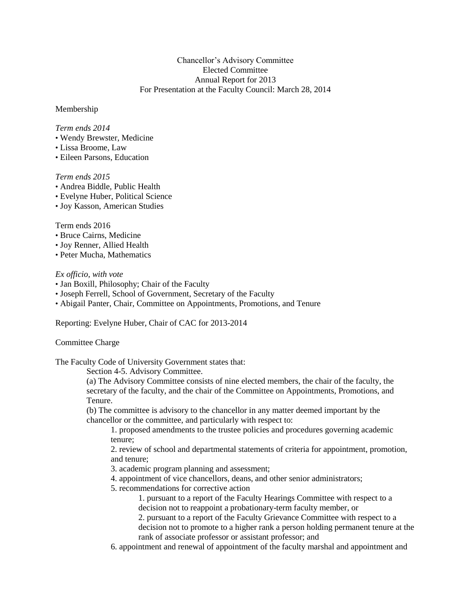## Chancellor's Advisory Committee Elected Committee Annual Report for 2013 For Presentation at the Faculty Council: March 28, 2014

#### Membership

#### *Term ends 2014*

- Wendy Brewster, Medicine
- Lissa Broome, Law
- Eileen Parsons, Education

# *Term ends 2015*

- Andrea Biddle, Public Health
- Evelyne Huber, Political Science
- Joy Kasson, American Studies

## Term ends 2016

- Bruce Cairns, Medicine
- Joy Renner, Allied Health
- Peter Mucha, Mathematics

#### *Ex officio, with vote*

- Jan Boxill, Philosophy; Chair of the Faculty
- Joseph Ferrell, School of Government, Secretary of the Faculty
- Abigail Panter, Chair, Committee on Appointments, Promotions, and Tenure

Reporting: Evelyne Huber, Chair of CAC for 2013-2014

## Committee Charge

The Faculty Code of University Government states that:

Section 4-5. Advisory Committee.

(a) The Advisory Committee consists of nine elected members, the chair of the faculty, the secretary of the faculty, and the chair of the Committee on Appointments, Promotions, and Tenure.

(b) The committee is advisory to the chancellor in any matter deemed important by the chancellor or the committee, and particularly with respect to:

1. proposed amendments to the trustee policies and procedures governing academic tenure;

2. review of school and departmental statements of criteria for appointment, promotion, and tenure;

3. academic program planning and assessment;

- 4. appointment of vice chancellors, deans, and other senior administrators;
- 5. recommendations for corrective action
	- 1. pursuant to a report of the Faculty Hearings Committee with respect to a decision not to reappoint a probationary-term faculty member, or
	- 2. pursuant to a report of the Faculty Grievance Committee with respect to a decision not to promote to a higher rank a person holding permanent tenure at the rank of associate professor or assistant professor; and
- 6. appointment and renewal of appointment of the faculty marshal and appointment and